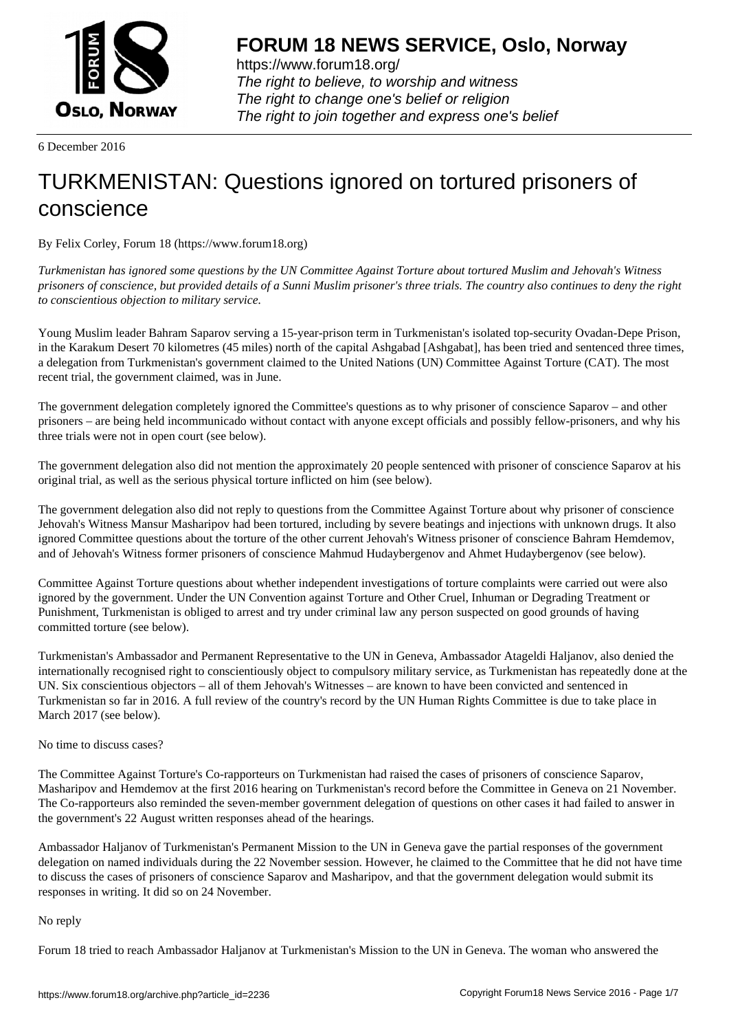

https://www.forum18.org/ The right to believe, to worship and witness The right to change one's belief or religion [The right to join together a](https://www.forum18.org/)nd express one's belief

6 December 2016

# [TURKMENISTA](https://www.forum18.org)N: Questions ignored on tortured prisoners of conscience

By Felix Corley, Forum 18 (https://www.forum18.org)

*Turkmenistan has ignored some questions by the UN Committee Against Torture about tortured Muslim and Jehovah's Witness prisoners of conscience, but provided details of a Sunni Muslim prisoner's three trials. The country also continues to deny the right to conscientious objection to military service.*

Young Muslim leader Bahram Saparov serving a 15-year-prison term in Turkmenistan's isolated top-security Ovadan-Depe Prison, in the Karakum Desert 70 kilometres (45 miles) north of the capital Ashgabad [Ashgabat], has been tried and sentenced three times, a delegation from Turkmenistan's government claimed to the United Nations (UN) Committee Against Torture (CAT). The most recent trial, the government claimed, was in June.

The government delegation completely ignored the Committee's questions as to why prisoner of conscience Saparov – and other prisoners – are being held incommunicado without contact with anyone except officials and possibly fellow-prisoners, and why his three trials were not in open court (see below).

The government delegation also did not mention the approximately 20 people sentenced with prisoner of conscience Saparov at his original trial, as well as the serious physical torture inflicted on him (see below).

The government delegation also did not reply to questions from the Committee Against Torture about why prisoner of conscience Jehovah's Witness Mansur Masharipov had been tortured, including by severe beatings and injections with unknown drugs. It also ignored Committee questions about the torture of the other current Jehovah's Witness prisoner of conscience Bahram Hemdemov, and of Jehovah's Witness former prisoners of conscience Mahmud Hudaybergenov and Ahmet Hudaybergenov (see below).

Committee Against Torture questions about whether independent investigations of torture complaints were carried out were also ignored by the government. Under the UN Convention against Torture and Other Cruel, Inhuman or Degrading Treatment or Punishment, Turkmenistan is obliged to arrest and try under criminal law any person suspected on good grounds of having committed torture (see below).

Turkmenistan's Ambassador and Permanent Representative to the UN in Geneva, Ambassador Atageldi Haljanov, also denied the internationally recognised right to conscientiously object to compulsory military service, as Turkmenistan has repeatedly done at the UN. Six conscientious objectors – all of them Jehovah's Witnesses – are known to have been convicted and sentenced in Turkmenistan so far in 2016. A full review of the country's record by the UN Human Rights Committee is due to take place in March 2017 (see below).

## No time to discuss cases?

The Committee Against Torture's Co-rapporteurs on Turkmenistan had raised the cases of prisoners of conscience Saparov, Masharipov and Hemdemov at the first 2016 hearing on Turkmenistan's record before the Committee in Geneva on 21 November. The Co-rapporteurs also reminded the seven-member government delegation of questions on other cases it had failed to answer in the government's 22 August written responses ahead of the hearings.

Ambassador Haljanov of Turkmenistan's Permanent Mission to the UN in Geneva gave the partial responses of the government delegation on named individuals during the 22 November session. However, he claimed to the Committee that he did not have time to discuss the cases of prisoners of conscience Saparov and Masharipov, and that the government delegation would submit its responses in writing. It did so on 24 November.

## No reply

Forum 18 tried to reach Ambassador Haljanov at Turkmenistan's Mission to the UN in Geneva. The woman who answered the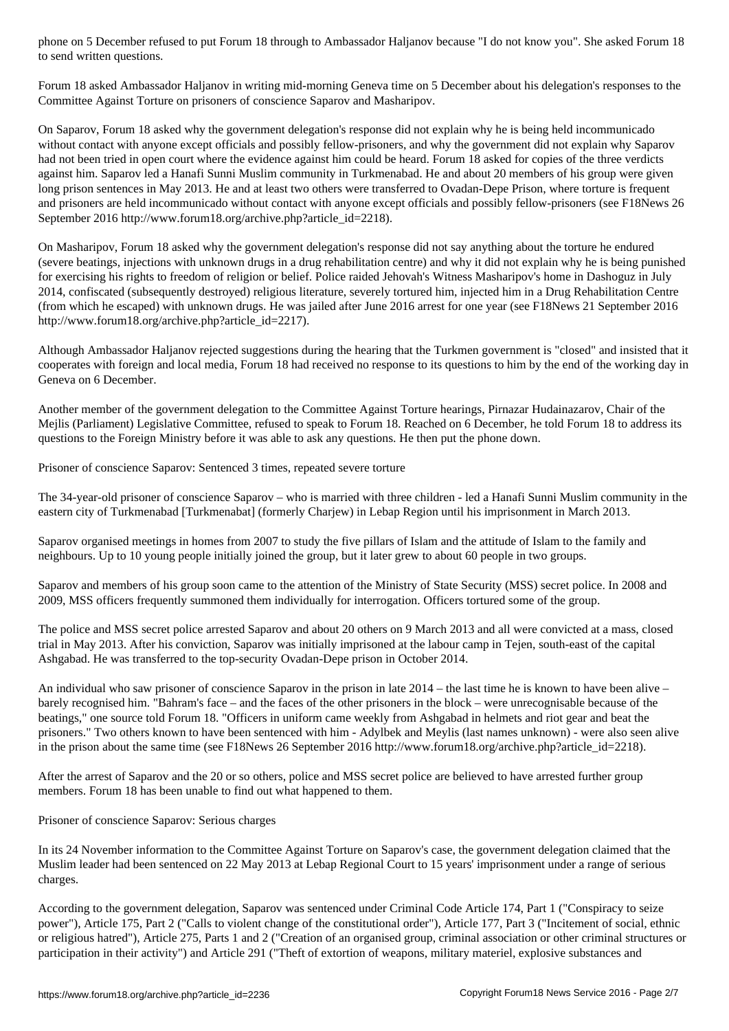Forum 18 asked Ambassador Haljanov in writing mid-morning Geneva time on 5 December about his delegation's responses to the Committee Against Torture on prisoners of conscience Saparov and Masharipov.

On Saparov, Forum 18 asked why the government delegation's response did not explain why he is being held incommunicado without contact with anyone except officials and possibly fellow-prisoners, and why the government did not explain why Saparov had not been tried in open court where the evidence against him could be heard. Forum 18 asked for copies of the three verdicts against him. Saparov led a Hanafi Sunni Muslim community in Turkmenabad. He and about 20 members of his group were given long prison sentences in May 2013. He and at least two others were transferred to Ovadan-Depe Prison, where torture is frequent and prisoners are held incommunicado without contact with anyone except officials and possibly fellow-prisoners (see F18News 26 September 2016 http://www.forum18.org/archive.php?article\_id=2218).

On Masharipov, Forum 18 asked why the government delegation's response did not say anything about the torture he endured (severe beatings, injections with unknown drugs in a drug rehabilitation centre) and why it did not explain why he is being punished for exercising his rights to freedom of religion or belief. Police raided Jehovah's Witness Masharipov's home in Dashoguz in July 2014, confiscated (subsequently destroyed) religious literature, severely tortured him, injected him in a Drug Rehabilitation Centre (from which he escaped) with unknown drugs. He was jailed after June 2016 arrest for one year (see F18News 21 September 2016 http://www.forum18.org/archive.php?article\_id=2217).

Although Ambassador Haljanov rejected suggestions during the hearing that the Turkmen government is "closed" and insisted that it cooperates with foreign and local media, Forum 18 had received no response to its questions to him by the end of the working day in Geneva on 6 December.

Another member of the government delegation to the Committee Against Torture hearings, Pirnazar Hudainazarov, Chair of the Mejlis (Parliament) Legislative Committee, refused to speak to Forum 18. Reached on 6 December, he told Forum 18 to address its questions to the Foreign Ministry before it was able to ask any questions. He then put the phone down.

Prisoner of conscience Saparov: Sentenced 3 times, repeated severe torture

to send written written and written  $\mathbf{I}$  and written  $\mathbf{I}$ 

The 34-year-old prisoner of conscience Saparov – who is married with three children - led a Hanafi Sunni Muslim community in the eastern city of Turkmenabad [Turkmenabat] (formerly Charjew) in Lebap Region until his imprisonment in March 2013.

Saparov organised meetings in homes from 2007 to study the five pillars of Islam and the attitude of Islam to the family and neighbours. Up to 10 young people initially joined the group, but it later grew to about 60 people in two groups.

Saparov and members of his group soon came to the attention of the Ministry of State Security (MSS) secret police. In 2008 and 2009, MSS officers frequently summoned them individually for interrogation. Officers tortured some of the group.

The police and MSS secret police arrested Saparov and about 20 others on 9 March 2013 and all were convicted at a mass, closed trial in May 2013. After his conviction, Saparov was initially imprisoned at the labour camp in Tejen, south-east of the capital Ashgabad. He was transferred to the top-security Ovadan-Depe prison in October 2014.

An individual who saw prisoner of conscience Saparov in the prison in late 2014 – the last time he is known to have been alive – barely recognised him. "Bahram's face – and the faces of the other prisoners in the block – were unrecognisable because of the beatings," one source told Forum 18. "Officers in uniform came weekly from Ashgabad in helmets and riot gear and beat the prisoners." Two others known to have been sentenced with him - Adylbek and Meylis (last names unknown) - were also seen alive in the prison about the same time (see F18News 26 September 2016 http://www.forum18.org/archive.php?article\_id=2218).

After the arrest of Saparov and the 20 or so others, police and MSS secret police are believed to have arrested further group members. Forum 18 has been unable to find out what happened to them.

Prisoner of conscience Saparov: Serious charges

In its 24 November information to the Committee Against Torture on Saparov's case, the government delegation claimed that the Muslim leader had been sentenced on 22 May 2013 at Lebap Regional Court to 15 years' imprisonment under a range of serious charges.

According to the government delegation, Saparov was sentenced under Criminal Code Article 174, Part 1 ("Conspiracy to seize power"), Article 175, Part 2 ("Calls to violent change of the constitutional order"), Article 177, Part 3 ("Incitement of social, ethnic or religious hatred"), Article 275, Parts 1 and 2 ("Creation of an organised group, criminal association or other criminal structures or participation in their activity") and Article 291 ("Theft of extortion of weapons, military materiel, explosive substances and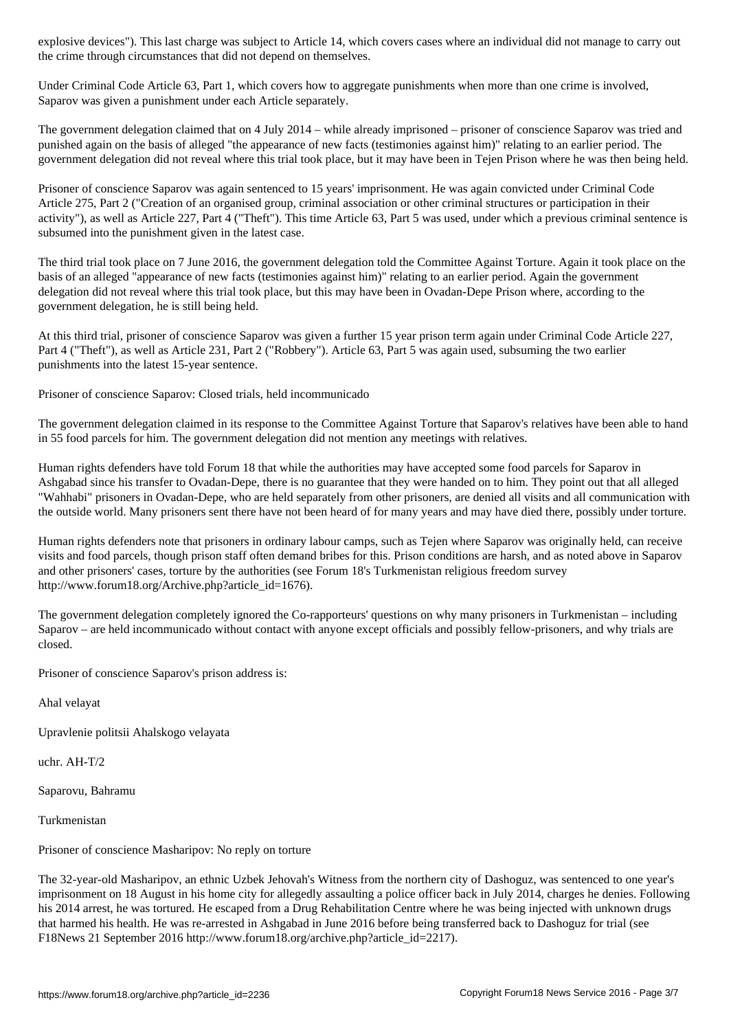the crime through circumstances that did not depend on themselves.

Under Criminal Code Article 63, Part 1, which covers how to aggregate punishments when more than one crime is involved, Saparov was given a punishment under each Article separately.

The government delegation claimed that on 4 July 2014 – while already imprisoned – prisoner of conscience Saparov was tried and punished again on the basis of alleged "the appearance of new facts (testimonies against him)" relating to an earlier period. The government delegation did not reveal where this trial took place, but it may have been in Tejen Prison where he was then being held.

Prisoner of conscience Saparov was again sentenced to 15 years' imprisonment. He was again convicted under Criminal Code Article 275, Part 2 ("Creation of an organised group, criminal association or other criminal structures or participation in their activity"), as well as Article 227, Part 4 ("Theft"). This time Article 63, Part 5 was used, under which a previous criminal sentence is subsumed into the punishment given in the latest case.

The third trial took place on 7 June 2016, the government delegation told the Committee Against Torture. Again it took place on the basis of an alleged "appearance of new facts (testimonies against him)" relating to an earlier period. Again the government delegation did not reveal where this trial took place, but this may have been in Ovadan-Depe Prison where, according to the government delegation, he is still being held.

At this third trial, prisoner of conscience Saparov was given a further 15 year prison term again under Criminal Code Article 227, Part 4 ("Theft"), as well as Article 231, Part 2 ("Robbery"). Article 63, Part 5 was again used, subsuming the two earlier punishments into the latest 15-year sentence.

Prisoner of conscience Saparov: Closed trials, held incommunicado

The government delegation claimed in its response to the Committee Against Torture that Saparov's relatives have been able to hand in 55 food parcels for him. The government delegation did not mention any meetings with relatives.

Human rights defenders have told Forum 18 that while the authorities may have accepted some food parcels for Saparov in Ashgabad since his transfer to Ovadan-Depe, there is no guarantee that they were handed on to him. They point out that all alleged "Wahhabi" prisoners in Ovadan-Depe, who are held separately from other prisoners, are denied all visits and all communication with the outside world. Many prisoners sent there have not been heard of for many years and may have died there, possibly under torture.

Human rights defenders note that prisoners in ordinary labour camps, such as Tejen where Saparov was originally held, can receive visits and food parcels, though prison staff often demand bribes for this. Prison conditions are harsh, and as noted above in Saparov and other prisoners' cases, torture by the authorities (see Forum 18's Turkmenistan religious freedom survey http://www.forum18.org/Archive.php?article\_id=1676).

The government delegation completely ignored the Co-rapporteurs' questions on why many prisoners in Turkmenistan – including Saparov – are held incommunicado without contact with anyone except officials and possibly fellow-prisoners, and why trials are closed.

Prisoner of conscience Saparov's prison address is:

Ahal velayat

Upravlenie politsii Ahalskogo velayata

uchr. AH-T/2

Saparovu, Bahramu

Turkmenistan

Prisoner of conscience Masharipov: No reply on torture

The 32-year-old Masharipov, an ethnic Uzbek Jehovah's Witness from the northern city of Dashoguz, was sentenced to one year's imprisonment on 18 August in his home city for allegedly assaulting a police officer back in July 2014, charges he denies. Following his 2014 arrest, he was tortured. He escaped from a Drug Rehabilitation Centre where he was being injected with unknown drugs that harmed his health. He was re-arrested in Ashgabad in June 2016 before being transferred back to Dashoguz for trial (see F18News 21 September 2016 http://www.forum18.org/archive.php?article\_id=2217).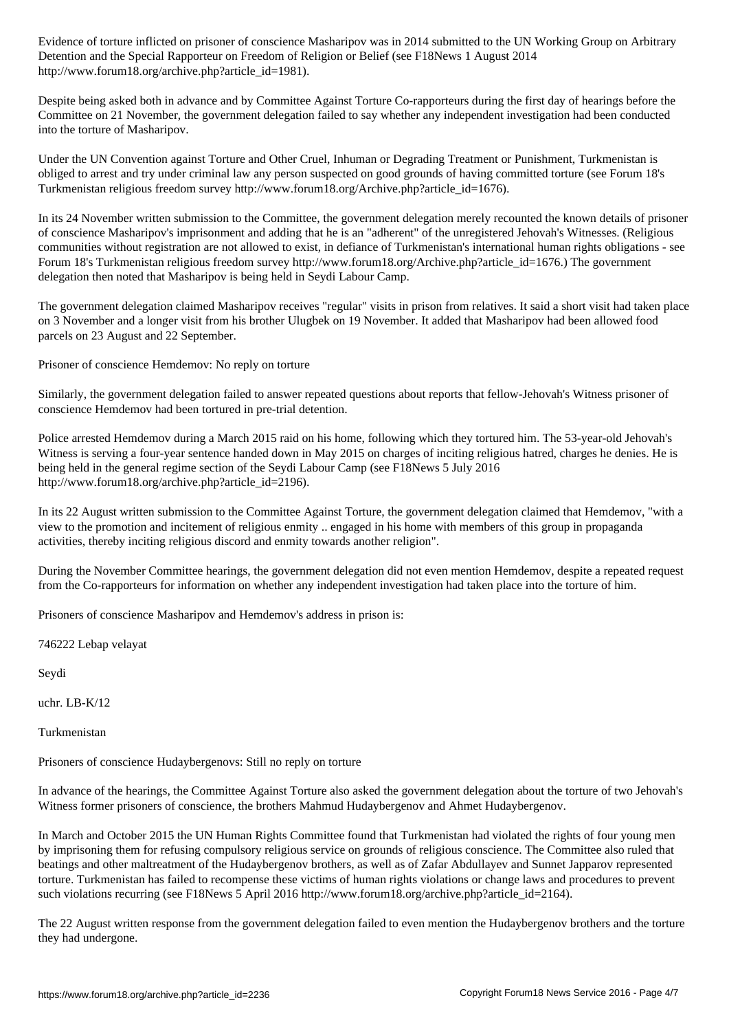Detention and the Special Rapporteur on Freedom of Religion or Belief (see F18News 1 August 2014 http://www.forum18.org/archive.php?article\_id=1981).

Despite being asked both in advance and by Committee Against Torture Co-rapporteurs during the first day of hearings before the Committee on 21 November, the government delegation failed to say whether any independent investigation had been conducted into the torture of Masharipov.

Under the UN Convention against Torture and Other Cruel, Inhuman or Degrading Treatment or Punishment, Turkmenistan is obliged to arrest and try under criminal law any person suspected on good grounds of having committed torture (see Forum 18's Turkmenistan religious freedom survey http://www.forum18.org/Archive.php?article\_id=1676).

In its 24 November written submission to the Committee, the government delegation merely recounted the known details of prisoner of conscience Masharipov's imprisonment and adding that he is an "adherent" of the unregistered Jehovah's Witnesses. (Religious communities without registration are not allowed to exist, in defiance of Turkmenistan's international human rights obligations - see Forum 18's Turkmenistan religious freedom survey http://www.forum18.org/Archive.php?article\_id=1676.) The government delegation then noted that Masharipov is being held in Seydi Labour Camp.

The government delegation claimed Masharipov receives "regular" visits in prison from relatives. It said a short visit had taken place on 3 November and a longer visit from his brother Ulugbek on 19 November. It added that Masharipov had been allowed food parcels on 23 August and 22 September.

Prisoner of conscience Hemdemov: No reply on torture

Similarly, the government delegation failed to answer repeated questions about reports that fellow-Jehovah's Witness prisoner of conscience Hemdemov had been tortured in pre-trial detention.

Police arrested Hemdemov during a March 2015 raid on his home, following which they tortured him. The 53-year-old Jehovah's Witness is serving a four-year sentence handed down in May 2015 on charges of inciting religious hatred, charges he denies. He is being held in the general regime section of the Seydi Labour Camp (see F18News 5 July 2016 http://www.forum18.org/archive.php?article\_id=2196).

In its 22 August written submission to the Committee Against Torture, the government delegation claimed that Hemdemov, "with a view to the promotion and incitement of religious enmity .. engaged in his home with members of this group in propaganda activities, thereby inciting religious discord and enmity towards another religion".

During the November Committee hearings, the government delegation did not even mention Hemdemov, despite a repeated request from the Co-rapporteurs for information on whether any independent investigation had taken place into the torture of him.

Prisoners of conscience Masharipov and Hemdemov's address in prison is:

746222 Lebap velayat

Seydi

uchr. LB-K/12

Turkmenistan

Prisoners of conscience Hudaybergenovs: Still no reply on torture

In advance of the hearings, the Committee Against Torture also asked the government delegation about the torture of two Jehovah's Witness former prisoners of conscience, the brothers Mahmud Hudaybergenov and Ahmet Hudaybergenov.

In March and October 2015 the UN Human Rights Committee found that Turkmenistan had violated the rights of four young men by imprisoning them for refusing compulsory religious service on grounds of religious conscience. The Committee also ruled that beatings and other maltreatment of the Hudaybergenov brothers, as well as of Zafar Abdullayev and Sunnet Japparov represented torture. Turkmenistan has failed to recompense these victims of human rights violations or change laws and procedures to prevent such violations recurring (see F18News 5 April 2016 http://www.forum18.org/archive.php?article\_id=2164).

The 22 August written response from the government delegation failed to even mention the Hudaybergenov brothers and the torture they had undergone.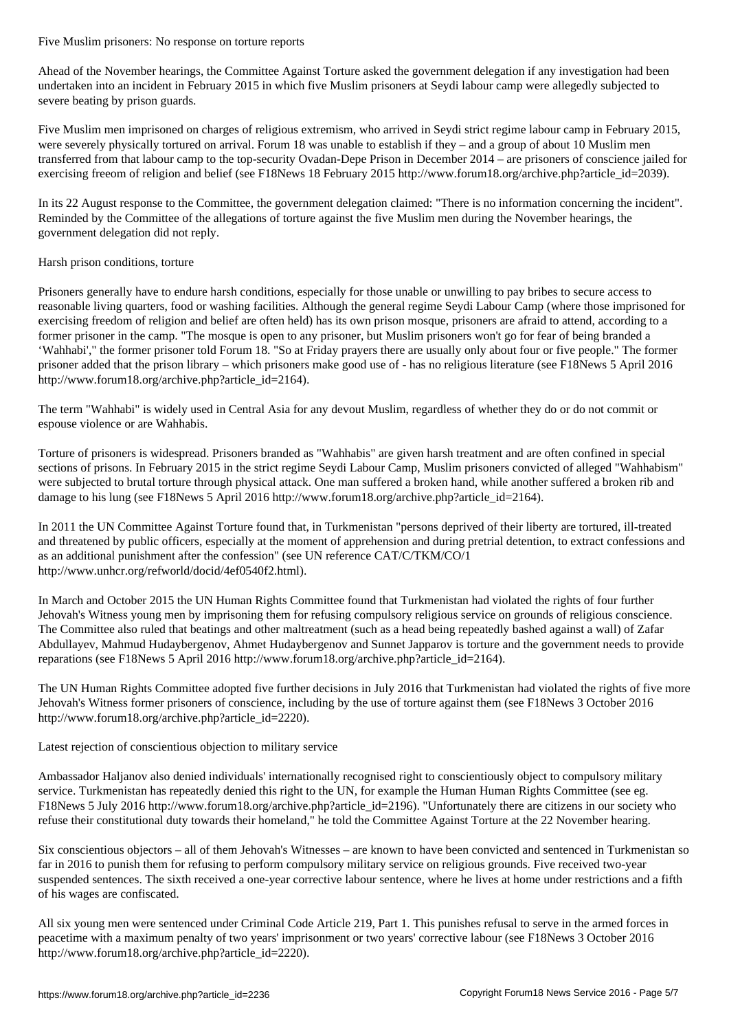Ahead of the November hearings, the Committee Against Torture asked the government delegation if any investigation had been undertaken into an incident in February 2015 in which five Muslim prisoners at Seydi labour camp were allegedly subjected to severe beating by prison guards.

Five Muslim men imprisoned on charges of religious extremism, who arrived in Seydi strict regime labour camp in February 2015, were severely physically tortured on arrival. Forum 18 was unable to establish if they – and a group of about 10 Muslim men transferred from that labour camp to the top-security Ovadan-Depe Prison in December 2014 – are prisoners of conscience jailed for exercising freeom of religion and belief (see F18News 18 February 2015 http://www.forum18.org/archive.php?article\_id=2039).

In its 22 August response to the Committee, the government delegation claimed: "There is no information concerning the incident". Reminded by the Committee of the allegations of torture against the five Muslim men during the November hearings, the government delegation did not reply.

## Harsh prison conditions, torture

Prisoners generally have to endure harsh conditions, especially for those unable or unwilling to pay bribes to secure access to reasonable living quarters, food or washing facilities. Although the general regime Seydi Labour Camp (where those imprisoned for exercising freedom of religion and belief are often held) has its own prison mosque, prisoners are afraid to attend, according to a former prisoner in the camp. "The mosque is open to any prisoner, but Muslim prisoners won't go for fear of being branded a 'Wahhabi'," the former prisoner told Forum 18. "So at Friday prayers there are usually only about four or five people." The former prisoner added that the prison library – which prisoners make good use of - has no religious literature (see F18News 5 April 2016 http://www.forum18.org/archive.php?article\_id=2164).

The term "Wahhabi" is widely used in Central Asia for any devout Muslim, regardless of whether they do or do not commit or espouse violence or are Wahhabis.

Torture of prisoners is widespread. Prisoners branded as "Wahhabis" are given harsh treatment and are often confined in special sections of prisons. In February 2015 in the strict regime Seydi Labour Camp, Muslim prisoners convicted of alleged "Wahhabism" were subjected to brutal torture through physical attack. One man suffered a broken hand, while another suffered a broken rib and damage to his lung (see F18News 5 April 2016 http://www.forum18.org/archive.php?article\_id=2164).

In 2011 the UN Committee Against Torture found that, in Turkmenistan "persons deprived of their liberty are tortured, ill-treated and threatened by public officers, especially at the moment of apprehension and during pretrial detention, to extract confessions and as an additional punishment after the confession" (see UN reference CAT/C/TKM/CO/1 http://www.unhcr.org/refworld/docid/4ef0540f2.html).

In March and October 2015 the UN Human Rights Committee found that Turkmenistan had violated the rights of four further Jehovah's Witness young men by imprisoning them for refusing compulsory religious service on grounds of religious conscience. The Committee also ruled that beatings and other maltreatment (such as a head being repeatedly bashed against a wall) of Zafar Abdullayev, Mahmud Hudaybergenov, Ahmet Hudaybergenov and Sunnet Japparov is torture and the government needs to provide reparations (see F18News 5 April 2016 http://www.forum18.org/archive.php?article\_id=2164).

The UN Human Rights Committee adopted five further decisions in July 2016 that Turkmenistan had violated the rights of five more Jehovah's Witness former prisoners of conscience, including by the use of torture against them (see F18News 3 October 2016 http://www.forum18.org/archive.php?article\_id=2220).

## Latest rejection of conscientious objection to military service

Ambassador Haljanov also denied individuals' internationally recognised right to conscientiously object to compulsory military service. Turkmenistan has repeatedly denied this right to the UN, for example the Human Human Rights Committee (see eg. F18News 5 July 2016 http://www.forum18.org/archive.php?article\_id=2196). "Unfortunately there are citizens in our society who refuse their constitutional duty towards their homeland," he told the Committee Against Torture at the 22 November hearing.

Six conscientious objectors – all of them Jehovah's Witnesses – are known to have been convicted and sentenced in Turkmenistan so far in 2016 to punish them for refusing to perform compulsory military service on religious grounds. Five received two-year suspended sentences. The sixth received a one-year corrective labour sentence, where he lives at home under restrictions and a fifth of his wages are confiscated.

All six young men were sentenced under Criminal Code Article 219, Part 1. This punishes refusal to serve in the armed forces in peacetime with a maximum penalty of two years' imprisonment or two years' corrective labour (see F18News 3 October 2016 http://www.forum18.org/archive.php?article\_id=2220).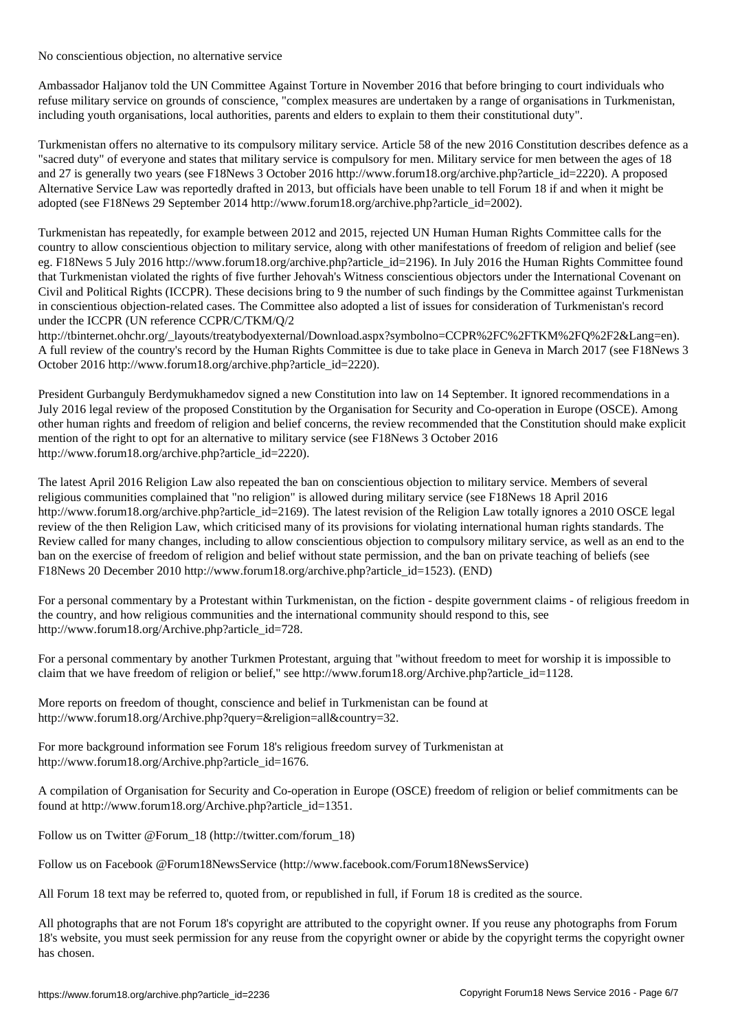Ambassador Haljanov told the UN Committee Against Torture in November 2016 that before bringing to court individuals who refuse military service on grounds of conscience, "complex measures are undertaken by a range of organisations in Turkmenistan, including youth organisations, local authorities, parents and elders to explain to them their constitutional duty".

Turkmenistan offers no alternative to its compulsory military service. Article 58 of the new 2016 Constitution describes defence as a "sacred duty" of everyone and states that military service is compulsory for men. Military service for men between the ages of 18 and 27 is generally two years (see F18News 3 October 2016 http://www.forum18.org/archive.php?article\_id=2220). A proposed Alternative Service Law was reportedly drafted in 2013, but officials have been unable to tell Forum 18 if and when it might be adopted (see F18News 29 September 2014 http://www.forum18.org/archive.php?article\_id=2002).

Turkmenistan has repeatedly, for example between 2012 and 2015, rejected UN Human Human Rights Committee calls for the country to allow conscientious objection to military service, along with other manifestations of freedom of religion and belief (see eg. F18News 5 July 2016 http://www.forum18.org/archive.php?article\_id=2196). In July 2016 the Human Rights Committee found that Turkmenistan violated the rights of five further Jehovah's Witness conscientious objectors under the International Covenant on Civil and Political Rights (ICCPR). These decisions bring to 9 the number of such findings by the Committee against Turkmenistan in conscientious objection-related cases. The Committee also adopted a list of issues for consideration of Turkmenistan's record under the ICCPR (UN reference CCPR/C/TKM/Q/2

http://tbinternet.ohchr.org/\_layouts/treatybodyexternal/Download.aspx?symbolno=CCPR%2FC%2FTKM%2FO%2F2&Lang=en). A full review of the country's record by the Human Rights Committee is due to take place in Geneva in March 2017 (see F18News 3 October 2016 http://www.forum18.org/archive.php?article\_id=2220).

President Gurbanguly Berdymukhamedov signed a new Constitution into law on 14 September. It ignored recommendations in a July 2016 legal review of the proposed Constitution by the Organisation for Security and Co-operation in Europe (OSCE). Among other human rights and freedom of religion and belief concerns, the review recommended that the Constitution should make explicit mention of the right to opt for an alternative to military service (see F18News 3 October 2016 http://www.forum18.org/archive.php?article\_id=2220).

The latest April 2016 Religion Law also repeated the ban on conscientious objection to military service. Members of several religious communities complained that "no religion" is allowed during military service (see F18News 18 April 2016 http://www.forum18.org/archive.php?article\_id=2169). The latest revision of the Religion Law totally ignores a 2010 OSCE legal review of the then Religion Law, which criticised many of its provisions for violating international human rights standards. The Review called for many changes, including to allow conscientious objection to compulsory military service, as well as an end to the ban on the exercise of freedom of religion and belief without state permission, and the ban on private teaching of beliefs (see F18News 20 December 2010 http://www.forum18.org/archive.php?article\_id=1523). (END)

For a personal commentary by a Protestant within Turkmenistan, on the fiction - despite government claims - of religious freedom in the country, and how religious communities and the international community should respond to this, see http://www.forum18.org/Archive.php?article\_id=728.

For a personal commentary by another Turkmen Protestant, arguing that "without freedom to meet for worship it is impossible to claim that we have freedom of religion or belief," see http://www.forum18.org/Archive.php?article\_id=1128.

More reports on freedom of thought, conscience and belief in Turkmenistan can be found at http://www.forum18.org/Archive.php?query=&religion=all&country=32.

For more background information see Forum 18's religious freedom survey of Turkmenistan at http://www.forum18.org/Archive.php?article\_id=1676.

A compilation of Organisation for Security and Co-operation in Europe (OSCE) freedom of religion or belief commitments can be found at http://www.forum18.org/Archive.php?article\_id=1351.

Follow us on Twitter @Forum\_18 (http://twitter.com/forum\_18)

No conscientious objection, no alternative service

Follow us on Facebook @Forum18NewsService (http://www.facebook.com/Forum18NewsService)

All Forum 18 text may be referred to, quoted from, or republished in full, if Forum 18 is credited as the source.

All photographs that are not Forum 18's copyright are attributed to the copyright owner. If you reuse any photographs from Forum 18's website, you must seek permission for any reuse from the copyright owner or abide by the copyright terms the copyright owner has chosen.